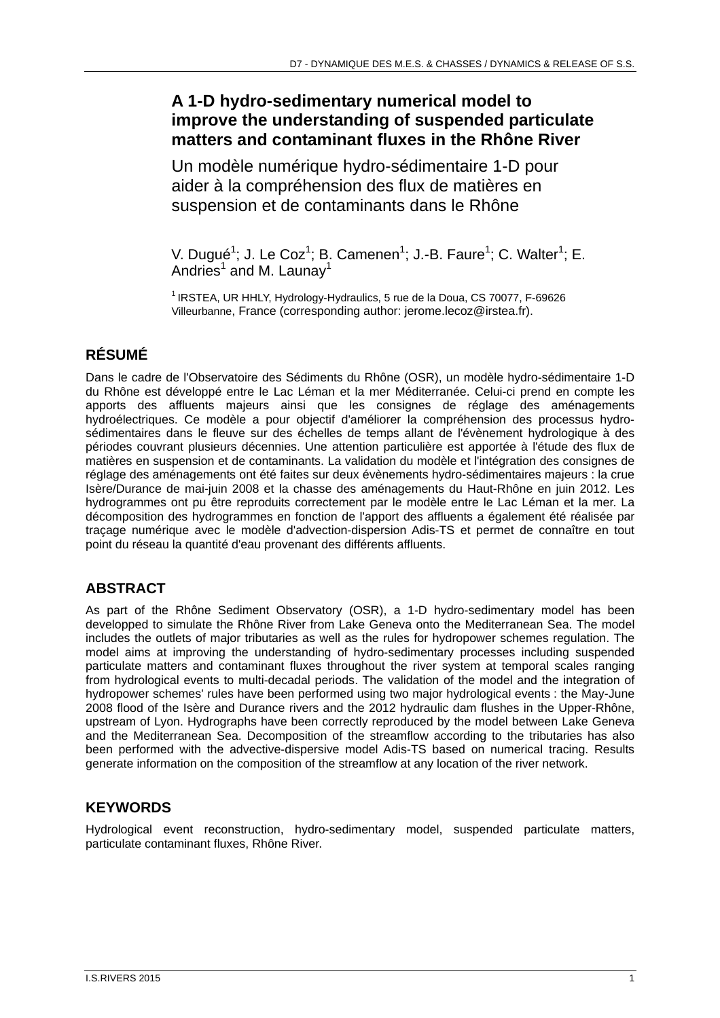# **A 1-D hydro-sedimentary numerical model to improve the understanding of suspended particulate matters and contaminant fluxes in the Rhône River**

Un modèle numérique hydro-sédimentaire 1-D pour aider à la compréhension des flux de matières en suspension et de contaminants dans le Rhône

V. Dugué<sup>1</sup>; J. Le Coz<sup>1</sup>; B. Camenen<sup>1</sup>; J.-B. Faure<sup>1</sup>; C. Walter<sup>1</sup>; E. Andries<sup>1</sup> and M. Launay<sup>1</sup>

<sup>1</sup> IRSTEA, UR HHLY, Hydrology-Hydraulics, 5 rue de la Doua, CS 70077, F-69626 Villeurbanne, France (corresponding author: jerome.lecoz@irstea.fr).

# **RÉSUMÉ**

Dans le cadre de l'Observatoire des Sédiments du Rhône (OSR), un modèle hydro-sédimentaire 1-D du Rhône est développé entre le Lac Léman et la mer Méditerranée. Celui-ci prend en compte les apports des affluents majeurs ainsi que les consignes de réglage des aménagements hydroélectriques. Ce modèle a pour objectif d'améliorer la compréhension des processus hydrosédimentaires dans le fleuve sur des échelles de temps allant de l'évènement hydrologique à des périodes couvrant plusieurs décennies. Une attention particulière est apportée à l'étude des flux de matières en suspension et de contaminants. La validation du modèle et l'intégration des consignes de réglage des aménagements ont été faites sur deux évènements hydro-sédimentaires majeurs : la crue Isère/Durance de mai-juin 2008 et la chasse des aménagements du Haut-Rhône en juin 2012. Les hydrogrammes ont pu être reproduits correctement par le modèle entre le Lac Léman et la mer. La décomposition des hydrogrammes en fonction de l'apport des affluents a également été réalisée par traçage numérique avec le modèle d'advection-dispersion Adis-TS et permet de connaître en tout point du réseau la quantité d'eau provenant des différents affluents.

# **ABSTRACT**

As part of the Rhône Sediment Observatory (OSR), a 1-D hydro-sedimentary model has been developped to simulate the Rhône River from Lake Geneva onto the Mediterranean Sea. The model includes the outlets of major tributaries as well as the rules for hydropower schemes regulation. The model aims at improving the understanding of hydro-sedimentary processes including suspended particulate matters and contaminant fluxes throughout the river system at temporal scales ranging from hydrological events to multi-decadal periods. The validation of the model and the integration of hydropower schemes' rules have been performed using two major hydrological events : the May-June 2008 flood of the Isère and Durance rivers and the 2012 hydraulic dam flushes in the Upper-Rhône, upstream of Lyon. Hydrographs have been correctly reproduced by the model between Lake Geneva and the Mediterranean Sea. Decomposition of the streamflow according to the tributaries has also been performed with the advective-dispersive model Adis-TS based on numerical tracing. Results generate information on the composition of the streamflow at any location of the river network.

# **KEYWORDS**

Hydrological event reconstruction, hydro-sedimentary model, suspended particulate matters, particulate contaminant fluxes, Rhône River.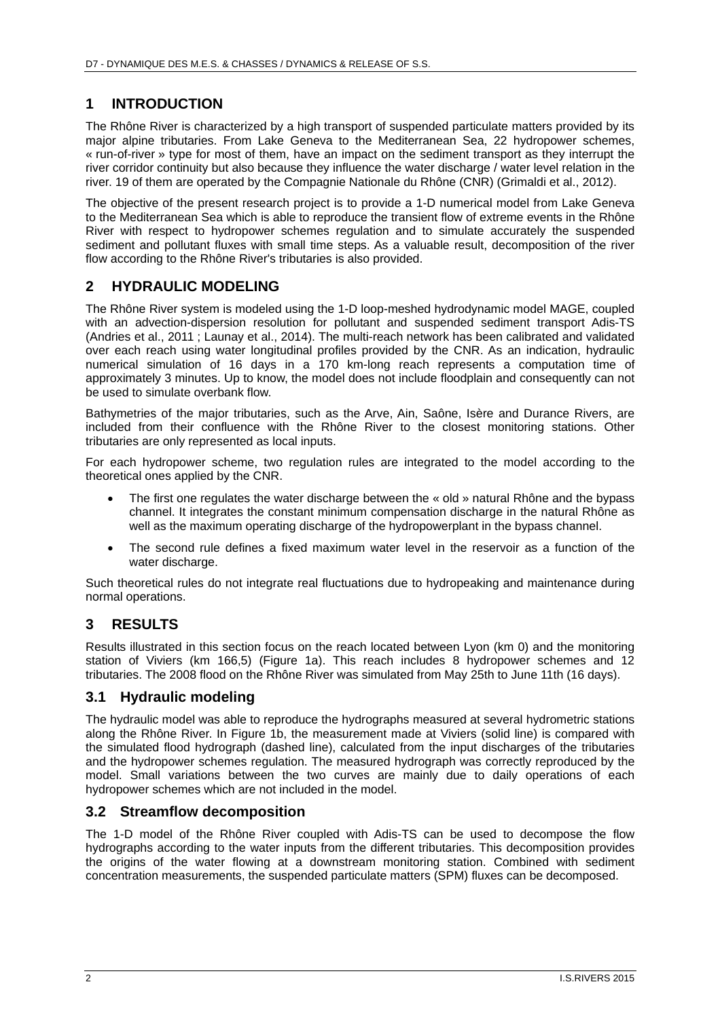## **1 INTRODUCTION**

The Rhône River is characterized by a high transport of suspended particulate matters provided by its major alpine tributaries. From Lake Geneva to the Mediterranean Sea, 22 hydropower schemes, « run-of-river » type for most of them, have an impact on the sediment transport as they interrupt the river corridor continuity but also because they influence the water discharge / water level relation in the river. 19 of them are operated by the Compagnie Nationale du Rhône (CNR) (Grimaldi et al., 2012).

The objective of the present research project is to provide a 1-D numerical model from Lake Geneva to the Mediterranean Sea which is able to reproduce the transient flow of extreme events in the Rhône River with respect to hydropower schemes regulation and to simulate accurately the suspended sediment and pollutant fluxes with small time steps. As a valuable result, decomposition of the river flow according to the Rhône River's tributaries is also provided.

## **2 HYDRAULIC MODELING**

The Rhône River system is modeled using the 1-D loop-meshed hydrodynamic model MAGE, coupled with an advection-dispersion resolution for pollutant and suspended sediment transport Adis-TS (Andries et al., 2011 ; Launay et al., 2014). The multi-reach network has been calibrated and validated over each reach using water longitudinal profiles provided by the CNR. As an indication, hydraulic numerical simulation of 16 days in a 170 km-long reach represents a computation time of approximately 3 minutes. Up to know, the model does not include floodplain and consequently can not be used to simulate overbank flow.

Bathymetries of the major tributaries, such as the Arve, Ain, Saône, Isère and Durance Rivers, are included from their confluence with the Rhône River to the closest monitoring stations. Other tributaries are only represented as local inputs.

For each hydropower scheme, two regulation rules are integrated to the model according to the theoretical ones applied by the CNR.

- The first one regulates the water discharge between the « old » natural Rhône and the bypass channel. It integrates the constant minimum compensation discharge in the natural Rhône as well as the maximum operating discharge of the hydropowerplant in the bypass channel.
- The second rule defines a fixed maximum water level in the reservoir as a function of the water discharge.

Such theoretical rules do not integrate real fluctuations due to hydropeaking and maintenance during normal operations.

### **3 RESULTS**

Results illustrated in this section focus on the reach located between Lyon (km 0) and the monitoring station of Viviers (km 166,5) (Figure 1a). This reach includes 8 hydropower schemes and 12 tributaries. The 2008 flood on the Rhône River was simulated from May 25th to June 11th (16 days).

### **3.1 Hydraulic modeling**

The hydraulic model was able to reproduce the hydrographs measured at several hydrometric stations along the Rhône River. In Figure 1b, the measurement made at Viviers (solid line) is compared with the simulated flood hydrograph (dashed line), calculated from the input discharges of the tributaries and the hydropower schemes regulation. The measured hydrograph was correctly reproduced by the model. Small variations between the two curves are mainly due to daily operations of each hydropower schemes which are not included in the model.

#### **3.2 Streamflow decomposition**

The 1-D model of the Rhône River coupled with Adis-TS can be used to decompose the flow hydrographs according to the water inputs from the different tributaries. This decomposition provides the origins of the water flowing at a downstream monitoring station. Combined with sediment concentration measurements, the suspended particulate matters (SPM) fluxes can be decomposed.